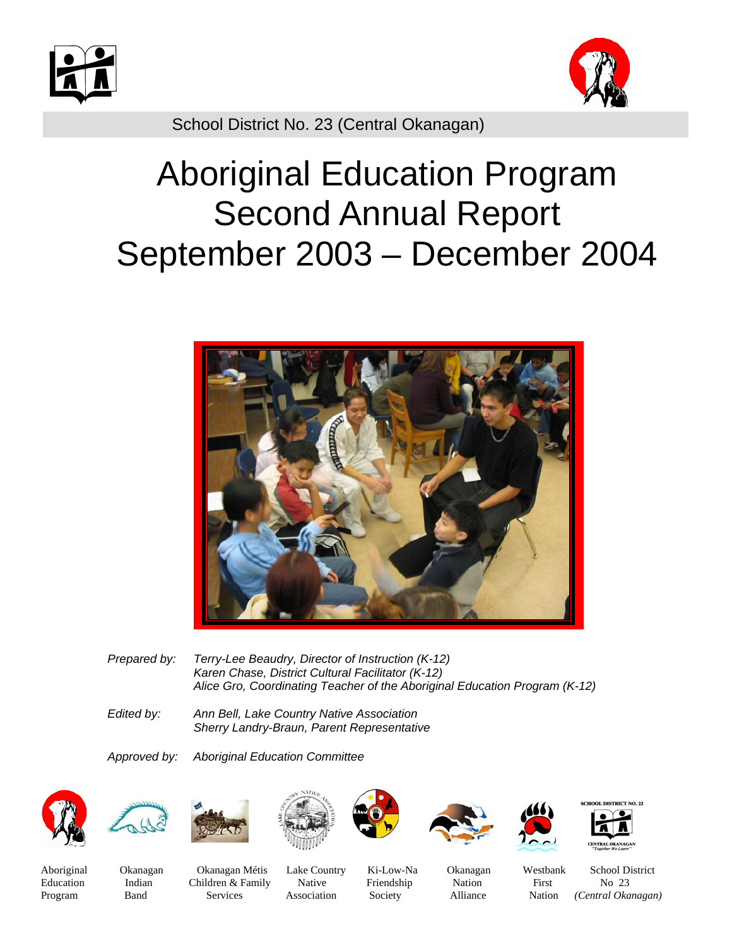



School District No. 23 (Central Okanagan)

# Aboriginal Education Program Second Annual Report September 2003 – December 2004



- *Prepared by: Terry-Lee Beaudry, Director of Instruction (K-12) Karen Chase, District Cultural Facilitator (K-12) Alice Gro, Coordinating Teacher of the Aboriginal Education Program (K-12)*
- *Edited by: Ann Bell, Lake Country Native Association Sherry Landry-Braun, Parent Representative*

*Approved by: Aboriginal Education Committee* 

















OL DISTRICT NO. 23

Aboriginal Okanagan Okanagan Métis Lake Country Ki-Low-Na Okanagan Westbank School District Education Indian Children & Family Native Friendship Nation First No 23 Program Band Services Association Society Alliance Nation *(Central Okanagan)*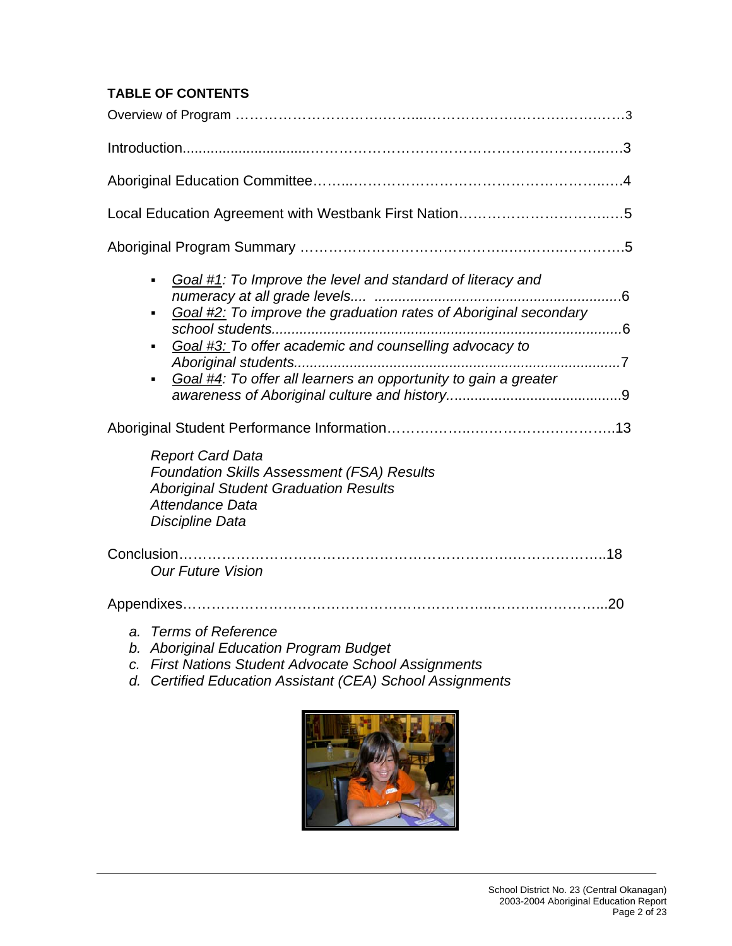# **TABLE OF CONTENTS**

| Goal #1: To Improve the level and standard of literacy and<br>$\blacksquare$<br>Goal #2: To improve the graduation rates of Aboriginal secondary<br>$\blacksquare$<br>Goal #3: To offer academic and counselling advocacy to<br>$\blacksquare$<br>Goal #4: To offer all learners an opportunity to gain a greater<br>$\blacksquare$ |
|-------------------------------------------------------------------------------------------------------------------------------------------------------------------------------------------------------------------------------------------------------------------------------------------------------------------------------------|
| <b>Report Card Data</b><br>Foundation Skills Assessment (FSA) Results<br><b>Aboriginal Student Graduation Results</b><br>Attendance Data<br>Discipline Data                                                                                                                                                                         |
| <b>Our Future Vision</b>                                                                                                                                                                                                                                                                                                            |
|                                                                                                                                                                                                                                                                                                                                     |
| Compact Defenses                                                                                                                                                                                                                                                                                                                    |

- *a. Terms of Reference*
- *b. Aboriginal Education Program Budget*
- *c. First Nations Student Advocate School Assignments*
- *d. Certified Education Assistant (CEA) School Assignments*

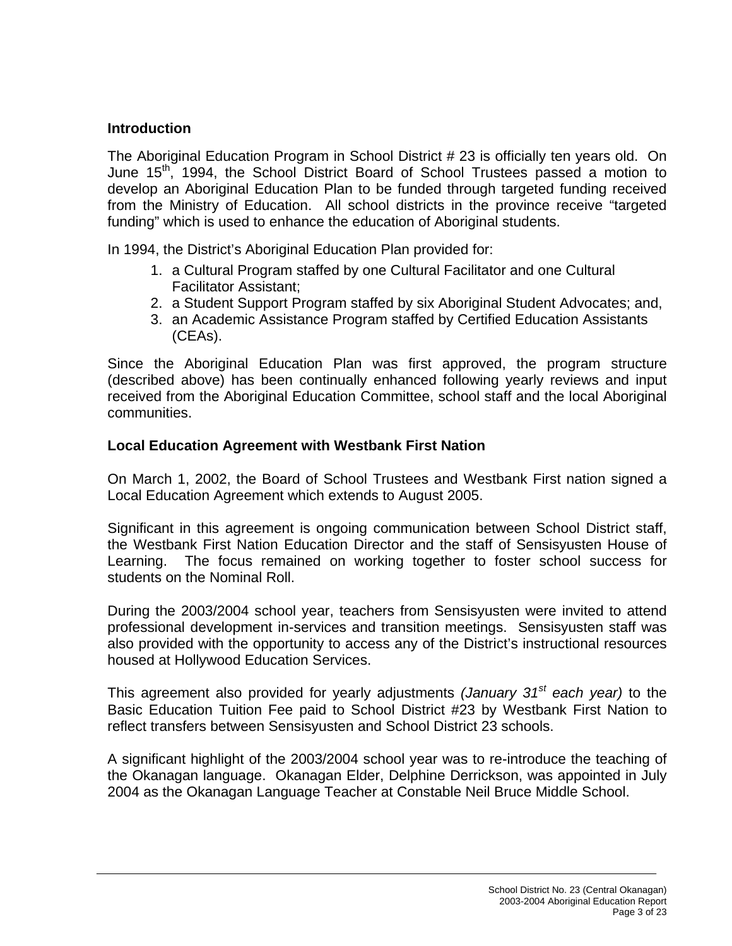# **Introduction**

The Aboriginal Education Program in School District # 23 is officially ten years old. On June 15<sup>th</sup>, 1994, the School District Board of School Trustees passed a motion to develop an Aboriginal Education Plan to be funded through targeted funding received from the Ministry of Education. All school districts in the province receive "targeted funding" which is used to enhance the education of Aboriginal students.

In 1994, the District's Aboriginal Education Plan provided for:

- 1. a Cultural Program staffed by one Cultural Facilitator and one Cultural Facilitator Assistant;
- 2. a Student Support Program staffed by six Aboriginal Student Advocates; and,
- 3. an Academic Assistance Program staffed by Certified Education Assistants (CEAs).

Since the Aboriginal Education Plan was first approved, the program structure (described above) has been continually enhanced following yearly reviews and input received from the Aboriginal Education Committee, school staff and the local Aboriginal communities.

## **Local Education Agreement with Westbank First Nation**

On March 1, 2002, the Board of School Trustees and Westbank First nation signed a Local Education Agreement which extends to August 2005.

Significant in this agreement is ongoing communication between School District staff, the Westbank First Nation Education Director and the staff of Sensisyusten House of Learning. The focus remained on working together to foster school success for students on the Nominal Roll.

During the 2003/2004 school year, teachers from Sensisyusten were invited to attend professional development in-services and transition meetings. Sensisyusten staff was also provided with the opportunity to access any of the District's instructional resources housed at Hollywood Education Services.

This agreement also provided for yearly adjustments *(January 31st each year)* to the Basic Education Tuition Fee paid to School District #23 by Westbank First Nation to reflect transfers between Sensisyusten and School District 23 schools.

A significant highlight of the 2003/2004 school year was to re-introduce the teaching of the Okanagan language. Okanagan Elder, Delphine Derrickson, was appointed in July 2004 as the Okanagan Language Teacher at Constable Neil Bruce Middle School.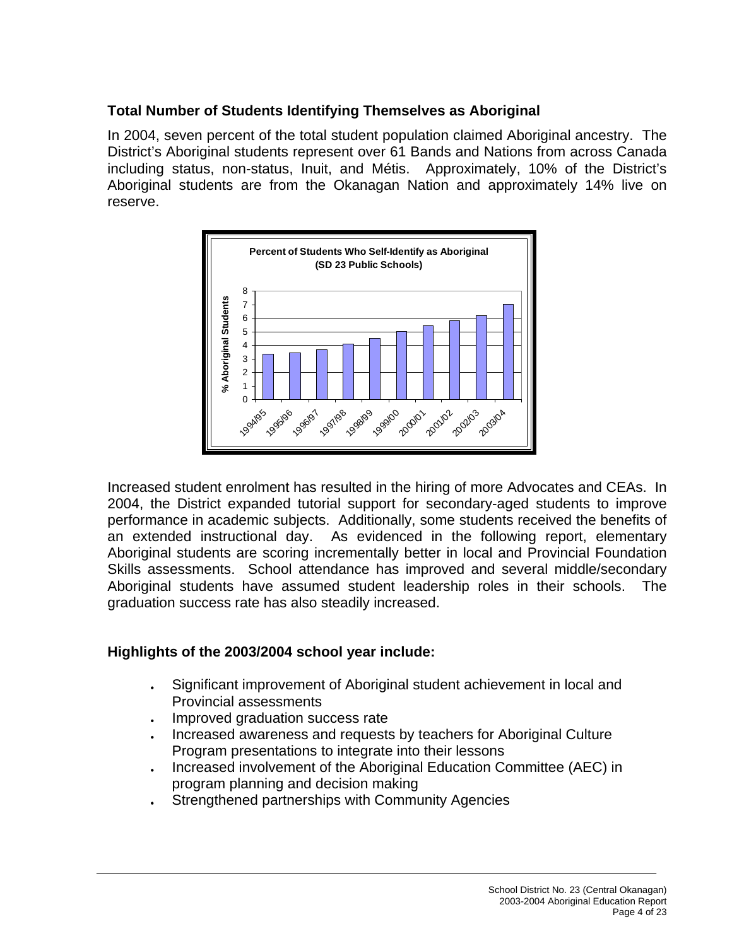# **Total Number of Students Identifying Themselves as Aboriginal**

In 2004, seven percent of the total student population claimed Aboriginal ancestry. The District's Aboriginal students represent over 61 Bands and Nations from across Canada including status, non-status, Inuit, and Métis. Approximately, 10% of the District's Aboriginal students are from the Okanagan Nation and approximately 14% live on reserve.



Increased student enrolment has resulted in the hiring of more Advocates and CEAs. In 2004, the District expanded tutorial support for secondary-aged students to improve performance in academic subjects. Additionally, some students received the benefits of an extended instructional day. As evidenced in the following report, elementary Aboriginal students are scoring incrementally better in local and Provincial Foundation Skills assessments. School attendance has improved and several middle/secondary Aboriginal students have assumed student leadership roles in their schools. The graduation success rate has also steadily increased.

# **Highlights of the 2003/2004 school year include:**

- Significant improvement of Aboriginal student achievement in local and Provincial assessments
- Improved graduation success rate
- Increased awareness and requests by teachers for Aboriginal Culture Program presentations to integrate into their lessons
- Increased involvement of the Aboriginal Education Committee (AEC) in program planning and decision making
- Strengthened partnerships with Community Agencies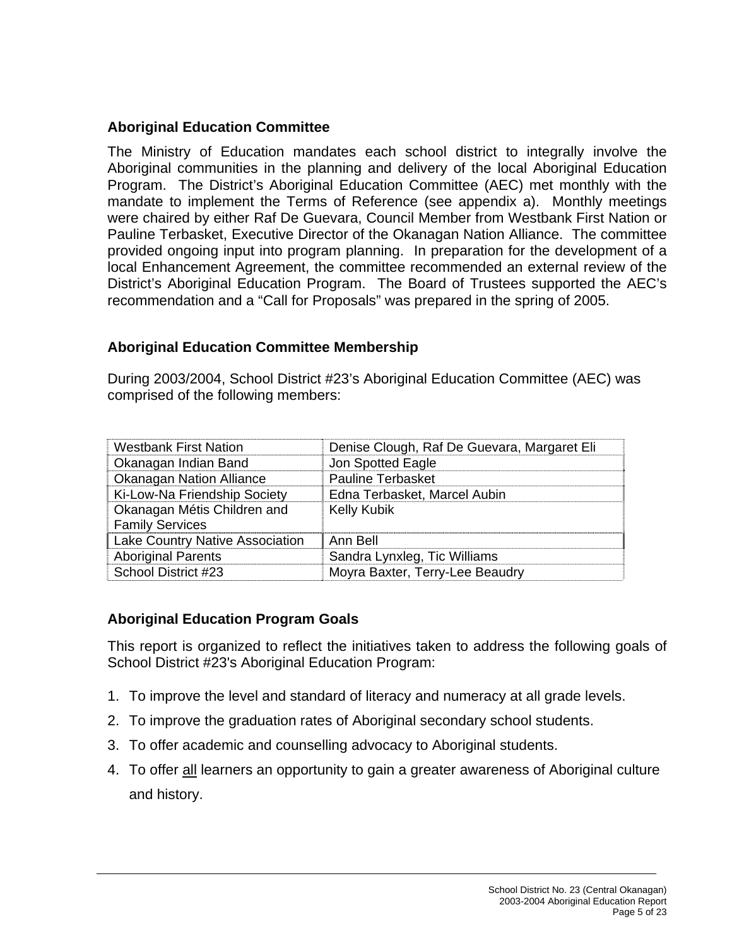# **Aboriginal Education Committee**

The Ministry of Education mandates each school district to integrally involve the Aboriginal communities in the planning and delivery of the local Aboriginal Education Program. The District's Aboriginal Education Committee (AEC) met monthly with the mandate to implement the Terms of Reference (see appendix a). Monthly meetings were chaired by either Raf De Guevara, Council Member from Westbank First Nation or Pauline Terbasket, Executive Director of the Okanagan Nation Alliance. The committee provided ongoing input into program planning. In preparation for the development of a local Enhancement Agreement, the committee recommended an external review of the District's Aboriginal Education Program. The Board of Trustees supported the AEC's recommendation and a "Call for Proposals" was prepared in the spring of 2005.

# **Aboriginal Education Committee Membership**

During 2003/2004, School District #23's Aboriginal Education Committee (AEC) was comprised of the following members:

| <b>Westbank First Nation</b>           | Denise Clough, Raf De Guevara, Margaret Eli |
|----------------------------------------|---------------------------------------------|
| Okanagan Indian Band                   | Jon Spotted Eagle                           |
| <b>Okanagan Nation Alliance</b>        | Pauline Terbasket                           |
| Ki-Low-Na Friendship Society           | Edna Terbasket, Marcel Aubin                |
| Okanagan Métis Children and            | <b>Kelly Kubik</b>                          |
| <b>Family Services</b>                 |                                             |
| <b>Lake Country Native Association</b> | Ann Bell                                    |
| <b>Aboriginal Parents</b>              | Sandra Lynxleg, Tic Williams                |
| School District #23                    | Moyra Baxter, Terry-Lee Beaudry             |

# **Aboriginal Education Program Goals**

This report is organized to reflect the initiatives taken to address the following goals of School District #23's Aboriginal Education Program:

- 1. To improve the level and standard of literacy and numeracy at all grade levels.
- 2. To improve the graduation rates of Aboriginal secondary school students.
- 3. To offer academic and counselling advocacy to Aboriginal students.
- 4. To offer all learners an opportunity to gain a greater awareness of Aboriginal culture and history.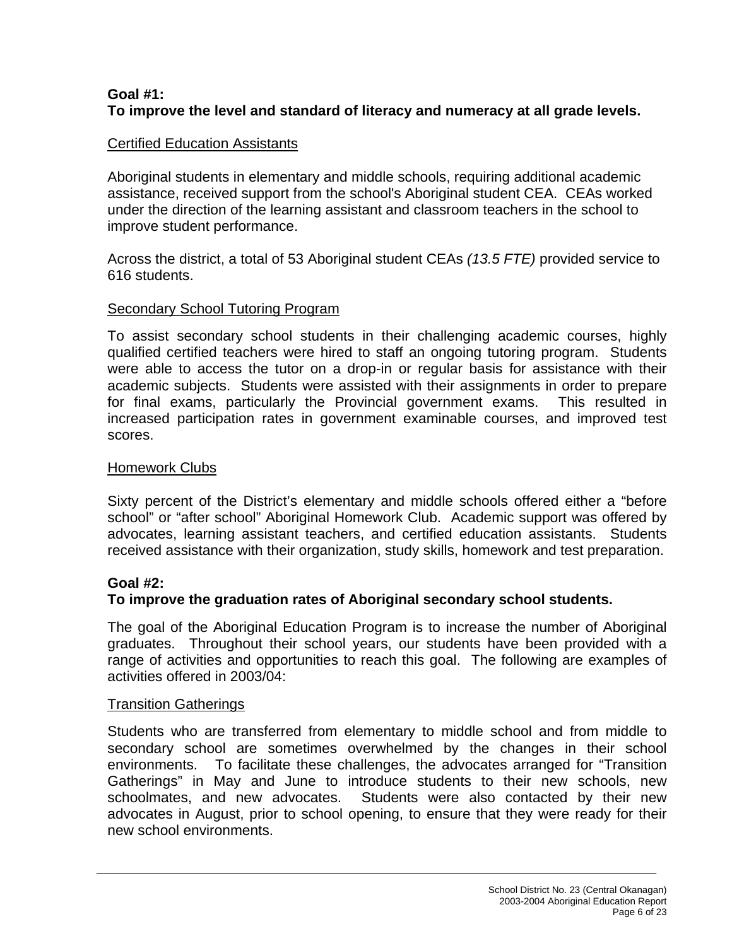# **Goal #1: To improve the level and standard of literacy and numeracy at all grade levels.**

# Certified Education Assistants

Aboriginal students in elementary and middle schools, requiring additional academic assistance, received support from the school's Aboriginal student CEA. CEAs worked under the direction of the learning assistant and classroom teachers in the school to improve student performance.

Across the district, a total of 53 Aboriginal student CEAs *(13.5 FTE)* provided service to 616 students.

## Secondary School Tutoring Program

To assist secondary school students in their challenging academic courses, highly qualified certified teachers were hired to staff an ongoing tutoring program. Students were able to access the tutor on a drop-in or regular basis for assistance with their academic subjects. Students were assisted with their assignments in order to prepare for final exams, particularly the Provincial government exams. This resulted in increased participation rates in government examinable courses, and improved test scores.

## Homework Clubs

Sixty percent of the District's elementary and middle schools offered either a "before school" or "after school" Aboriginal Homework Club. Academic support was offered by advocates, learning assistant teachers, and certified education assistants. Students received assistance with their organization, study skills, homework and test preparation.

# **Goal #2:**

# **To improve the graduation rates of Aboriginal secondary school students.**

The goal of the Aboriginal Education Program is to increase the number of Aboriginal graduates. Throughout their school years, our students have been provided with a range of activities and opportunities to reach this goal. The following are examples of activities offered in 2003/04:

#### Transition Gatherings

Students who are transferred from elementary to middle school and from middle to secondary school are sometimes overwhelmed by the changes in their school environments. To facilitate these challenges, the advocates arranged for "Transition Gatherings" in May and June to introduce students to their new schools, new schoolmates, and new advocates. Students were also contacted by their new advocates in August, prior to school opening, to ensure that they were ready for their new school environments.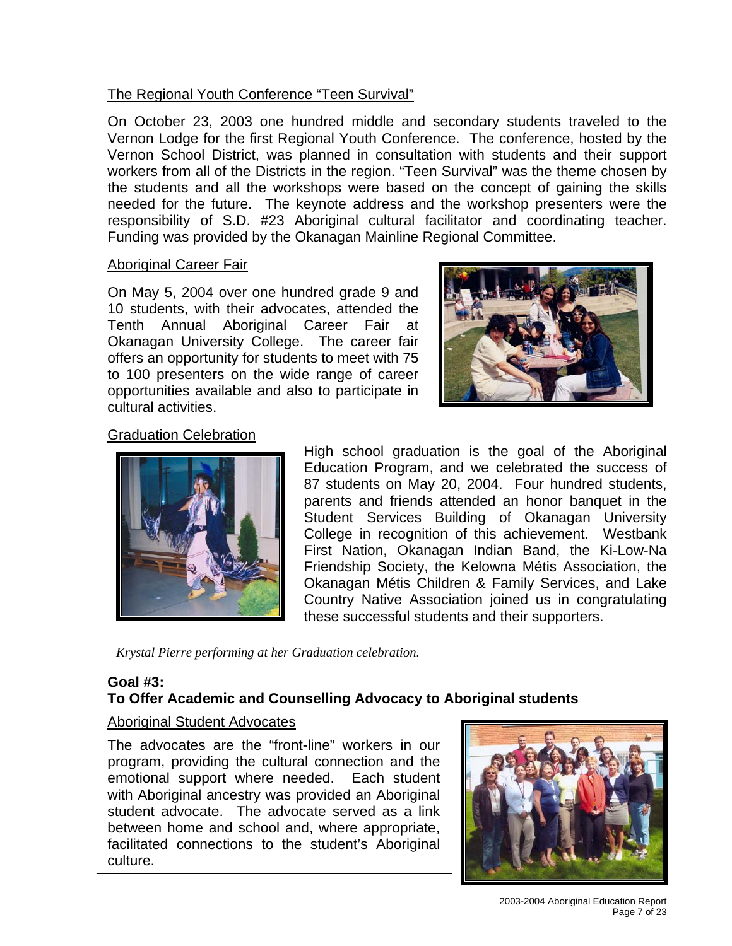# The Regional Youth Conference "Teen Survival"

On October 23, 2003 one hundred middle and secondary students traveled to the Vernon Lodge for the first Regional Youth Conference. The conference, hosted by the Vernon School District, was planned in consultation with students and their support workers from all of the Districts in the region. "Teen Survival" was the theme chosen by the students and all the workshops were based on the concept of gaining the skills needed for the future. The keynote address and the workshop presenters were the responsibility of S.D. #23 Aboriginal cultural facilitator and coordinating teacher. Funding was provided by the Okanagan Mainline Regional Committee.

## Aboriginal Career Fair

On May 5, 2004 over one hundred grade 9 and 10 students, with their advocates, attended the Tenth Annual Aboriginal Career Fair at Okanagan University College. The career fair offers an opportunity for students to meet with 75 to 100 presenters on the wide range of career opportunities available and also to participate in cultural activities.



## Graduation Celebration



High school graduation is the goal of the Aboriginal Education Program, and we celebrated the success of 87 students on May 20, 2004. Four hundred students, parents and friends attended an honor banquet in the Student Services Building of Okanagan University College in recognition of this achievement. Westbank First Nation, Okanagan Indian Band, the Ki-Low-Na Friendship Society, the Kelowna Métis Association, the Okanagan Métis Children & Family Services, and Lake Country Native Association joined us in congratulating these successful students and their supporters.

*Krystal Pierre performing at her Graduation celebration.* 

# **Goal #3: To Offer Academic and Counselling Advocacy to Aboriginal students**

#### Aboriginal Student Advocates

The advocates are the "front-line" workers in our program, providing the cultural connection and the emotional support where needed. Each student with Aboriginal ancestry was provided an Aboriginal student advocate. The advocate served as a link between home and school and, where appropriate, facilitated connections to the student's Aboriginal culture.



2003-2004 Aboriginal Education Report Page 7 of 23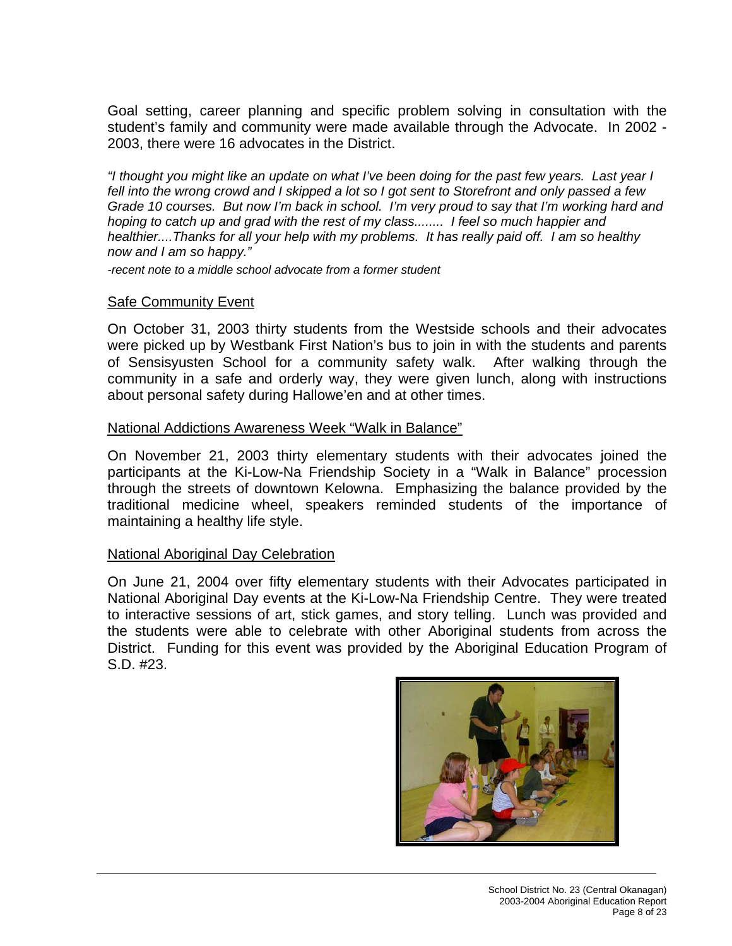Goal setting, career planning and specific problem solving in consultation with the student's family and community were made available through the Advocate. In 2002 - 2003, there were 16 advocates in the District.

*"I thought you might like an update on what I've been doing for the past few years. Last year I fell into the wrong crowd and I skipped a lot so I got sent to Storefront and only passed a few Grade 10 courses. But now I'm back in school. I'm very proud to say that I'm working hard and hoping to catch up and grad with the rest of my class........ I feel so much happier and healthier....Thanks for all your help with my problems. It has really paid off. I am so healthy now and I am so happy."* 

*-recent note to a middle school advocate from a former student*

#### Safe Community Event

On October 31, 2003 thirty students from the Westside schools and their advocates were picked up by Westbank First Nation's bus to join in with the students and parents of Sensisyusten School for a community safety walk. After walking through the community in a safe and orderly way, they were given lunch, along with instructions about personal safety during Hallowe'en and at other times.

#### National Addictions Awareness Week "Walk in Balance"

On November 21, 2003 thirty elementary students with their advocates joined the participants at the Ki-Low-Na Friendship Society in a "Walk in Balance" procession through the streets of downtown Kelowna. Emphasizing the balance provided by the traditional medicine wheel, speakers reminded students of the importance of maintaining a healthy life style.

#### National Aboriginal Day Celebration

On June 21, 2004 over fifty elementary students with their Advocates participated in National Aboriginal Day events at the Ki-Low-Na Friendship Centre. They were treated to interactive sessions of art, stick games, and story telling. Lunch was provided and the students were able to celebrate with other Aboriginal students from across the District. Funding for this event was provided by the Aboriginal Education Program of S.D. #23.

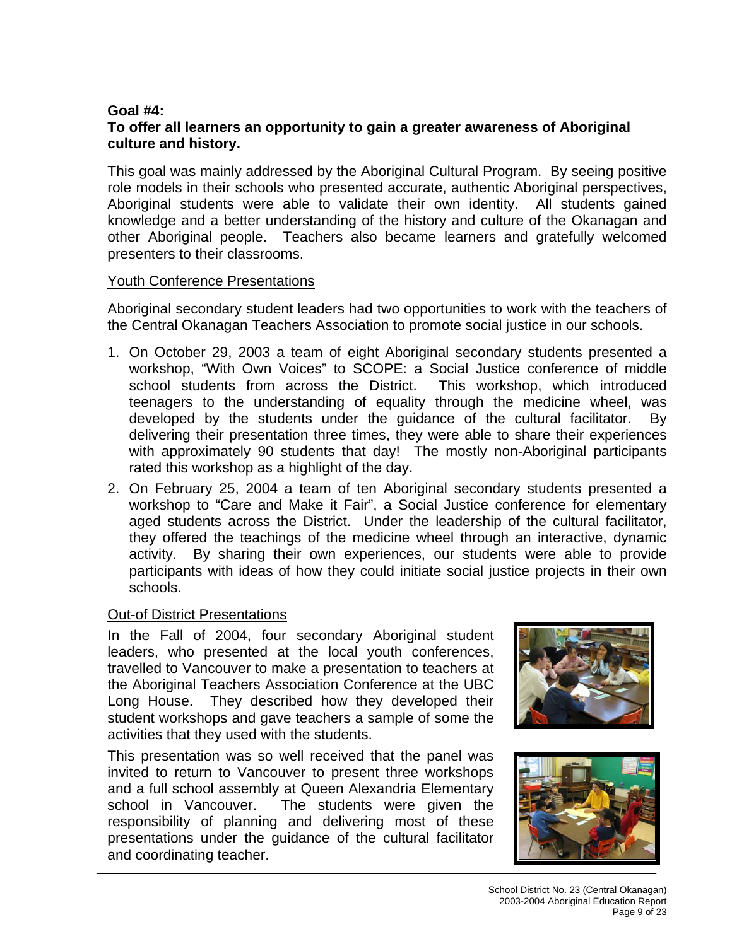# **Goal #4:**

## **To offer all learners an opportunity to gain a greater awareness of Aboriginal culture and history.**

This goal was mainly addressed by the Aboriginal Cultural Program. By seeing positive role models in their schools who presented accurate, authentic Aboriginal perspectives, Aboriginal students were able to validate their own identity. All students gained knowledge and a better understanding of the history and culture of the Okanagan and other Aboriginal people. Teachers also became learners and gratefully welcomed presenters to their classrooms.

#### Youth Conference Presentations

Aboriginal secondary student leaders had two opportunities to work with the teachers of the Central Okanagan Teachers Association to promote social justice in our schools.

- 1. On October 29, 2003 a team of eight Aboriginal secondary students presented a workshop, "With Own Voices" to SCOPE: a Social Justice conference of middle school students from across the District. This workshop, which introduced teenagers to the understanding of equality through the medicine wheel, was developed by the students under the guidance of the cultural facilitator. By delivering their presentation three times, they were able to share their experiences with approximately 90 students that day! The mostly non-Aboriginal participants rated this workshop as a highlight of the day.
- 2. On February 25, 2004 a team of ten Aboriginal secondary students presented a workshop to "Care and Make it Fair", a Social Justice conference for elementary aged students across the District. Under the leadership of the cultural facilitator, they offered the teachings of the medicine wheel through an interactive, dynamic activity. By sharing their own experiences, our students were able to provide participants with ideas of how they could initiate social justice projects in their own schools.

#### Out-of District Presentations

In the Fall of 2004, four secondary Aboriginal student leaders, who presented at the local youth conferences, travelled to Vancouver to make a presentation to teachers at the Aboriginal Teachers Association Conference at the UBC Long House. They described how they developed their student workshops and gave teachers a sample of some the activities that they used with the students.

This presentation was so well received that the panel was invited to return to Vancouver to present three workshops and a full school assembly at Queen Alexandria Elementary school in Vancouver. The students were given the responsibility of planning and delivering most of these presentations under the guidance of the cultural facilitator and coordinating teacher.



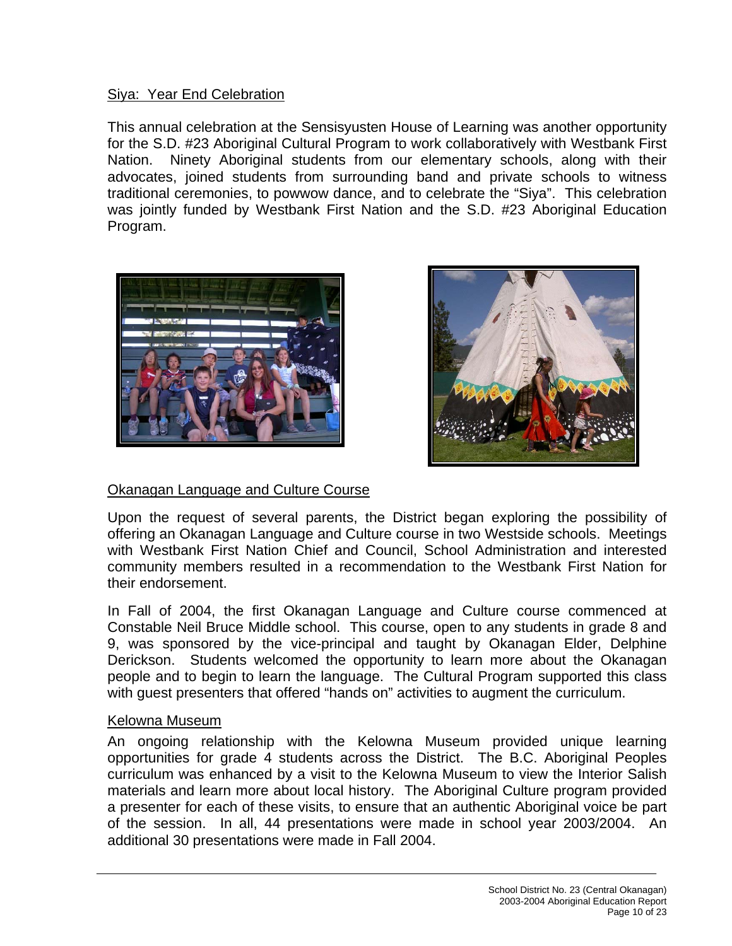# Siya: Year End Celebration

This annual celebration at the Sensisyusten House of Learning was another opportunity for the S.D. #23 Aboriginal Cultural Program to work collaboratively with Westbank First Nation. Ninety Aboriginal students from our elementary schools, along with their advocates, joined students from surrounding band and private schools to witness traditional ceremonies, to powwow dance, and to celebrate the "Siya". This celebration was jointly funded by Westbank First Nation and the S.D. #23 Aboriginal Education Program.





# Okanagan Language and Culture Course

Upon the request of several parents, the District began exploring the possibility of offering an Okanagan Language and Culture course in two Westside schools. Meetings with Westbank First Nation Chief and Council, School Administration and interested community members resulted in a recommendation to the Westbank First Nation for their endorsement.

In Fall of 2004, the first Okanagan Language and Culture course commenced at Constable Neil Bruce Middle school. This course, open to any students in grade 8 and 9, was sponsored by the vice-principal and taught by Okanagan Elder, Delphine Derickson. Students welcomed the opportunity to learn more about the Okanagan people and to begin to learn the language. The Cultural Program supported this class with guest presenters that offered "hands on" activities to augment the curriculum.

#### Kelowna Museum

An ongoing relationship with the Kelowna Museum provided unique learning opportunities for grade 4 students across the District. The B.C. Aboriginal Peoples curriculum was enhanced by a visit to the Kelowna Museum to view the Interior Salish materials and learn more about local history. The Aboriginal Culture program provided a presenter for each of these visits, to ensure that an authentic Aboriginal voice be part of the session. In all, 44 presentations were made in school year 2003/2004. An additional 30 presentations were made in Fall 2004.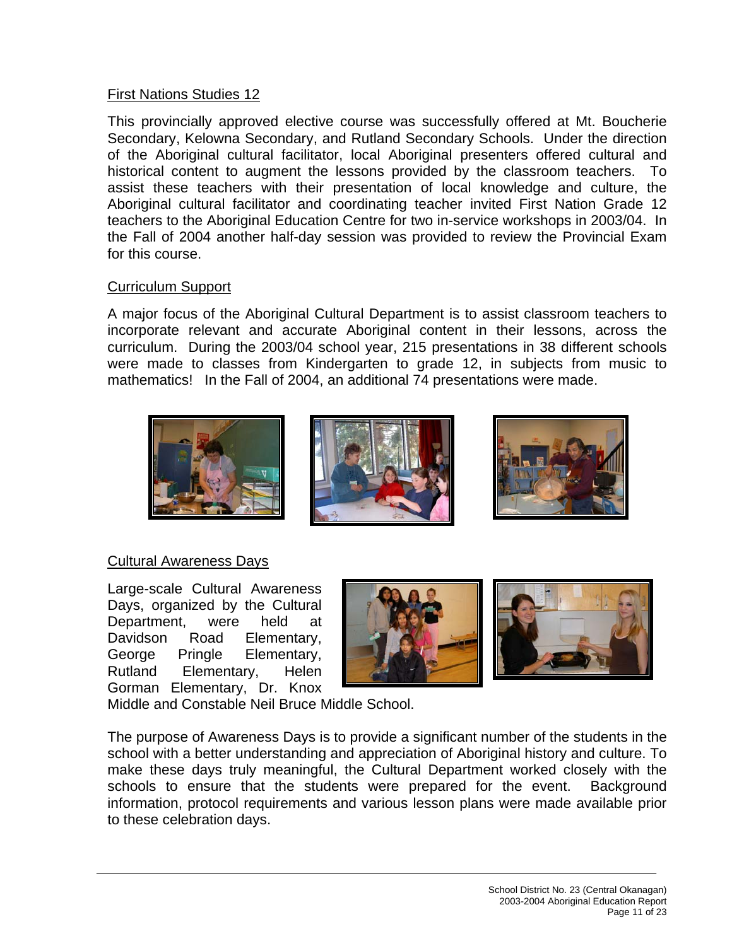## First Nations Studies 12

This provincially approved elective course was successfully offered at Mt. Boucherie Secondary, Kelowna Secondary, and Rutland Secondary Schools. Under the direction of the Aboriginal cultural facilitator, local Aboriginal presenters offered cultural and historical content to augment the lessons provided by the classroom teachers. To assist these teachers with their presentation of local knowledge and culture, the Aboriginal cultural facilitator and coordinating teacher invited First Nation Grade 12 teachers to the Aboriginal Education Centre for two in-service workshops in 2003/04. In the Fall of 2004 another half-day session was provided to review the Provincial Exam for this course.

## Curriculum Support

A major focus of the Aboriginal Cultural Department is to assist classroom teachers to incorporate relevant and accurate Aboriginal content in their lessons, across the curriculum. During the 2003/04 school year, 215 presentations in 38 different schools were made to classes from Kindergarten to grade 12, in subjects from music to mathematics! In the Fall of 2004, an additional 74 presentations were made.



# Cultural Awareness Days

Large-scale Cultural Awareness Days, organized by the Cultural Department, were held at Davidson Road Elementary, George Pringle Elementary, Rutland Elementary, Helen Gorman Elementary, Dr. Knox





Middle and Constable Neil Bruce Middle School.

The purpose of Awareness Days is to provide a significant number of the students in the school with a better understanding and appreciation of Aboriginal history and culture. To make these days truly meaningful, the Cultural Department worked closely with the schools to ensure that the students were prepared for the event. Background information, protocol requirements and various lesson plans were made available prior to these celebration days.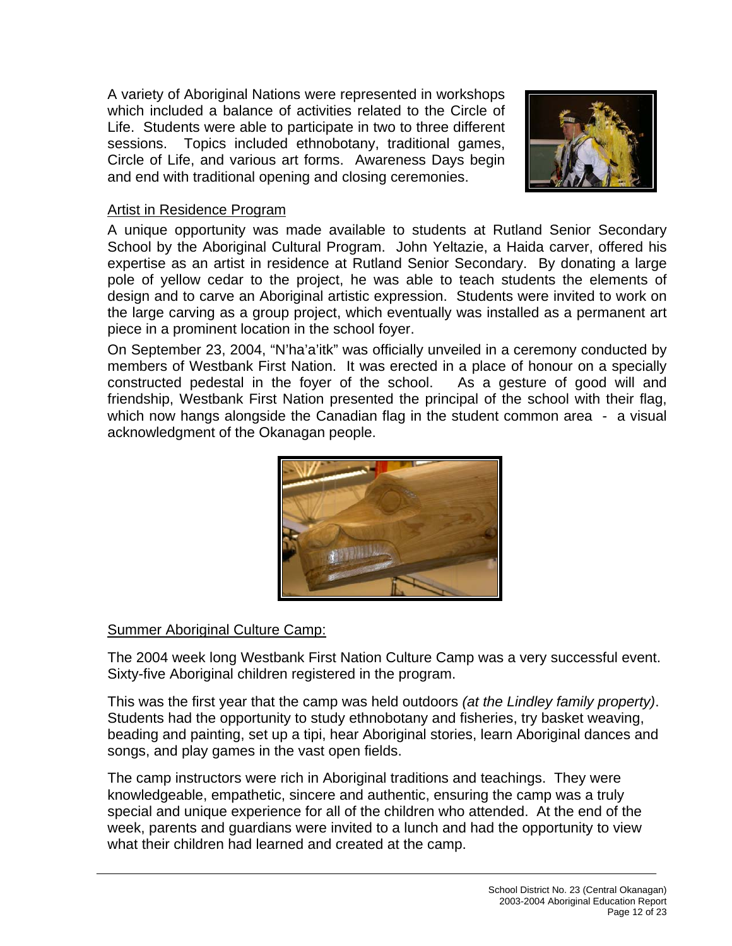A variety of Aboriginal Nations were represented in workshops which included a balance of activities related to the Circle of Life. Students were able to participate in two to three different sessions. Topics included ethnobotany, traditional games, Circle of Life, and various art forms. Awareness Days begin and end with traditional opening and closing ceremonies.



## Artist in Residence Program

A unique opportunity was made available to students at Rutland Senior Secondary School by the Aboriginal Cultural Program. John Yeltazie, a Haida carver, offered his expertise as an artist in residence at Rutland Senior Secondary. By donating a large pole of yellow cedar to the project, he was able to teach students the elements of design and to carve an Aboriginal artistic expression. Students were invited to work on the large carving as a group project, which eventually was installed as a permanent art piece in a prominent location in the school foyer.

On September 23, 2004, "N'ha'a'itk" was officially unveiled in a ceremony conducted by members of Westbank First Nation. It was erected in a place of honour on a specially constructed pedestal in the foyer of the school. As a gesture of good will and friendship, Westbank First Nation presented the principal of the school with their flag, which now hangs alongside the Canadian flag in the student common area - a visual acknowledgment of the Okanagan people.



# Summer Aboriginal Culture Camp:

The 2004 week long Westbank First Nation Culture Camp was a very successful event. Sixty-five Aboriginal children registered in the program.

This was the first year that the camp was held outdoors *(at the Lindley family property)*. Students had the opportunity to study ethnobotany and fisheries, try basket weaving, beading and painting, set up a tipi, hear Aboriginal stories, learn Aboriginal dances and songs, and play games in the vast open fields.

The camp instructors were rich in Aboriginal traditions and teachings. They were knowledgeable, empathetic, sincere and authentic, ensuring the camp was a truly special and unique experience for all of the children who attended. At the end of the week, parents and guardians were invited to a lunch and had the opportunity to view what their children had learned and created at the camp.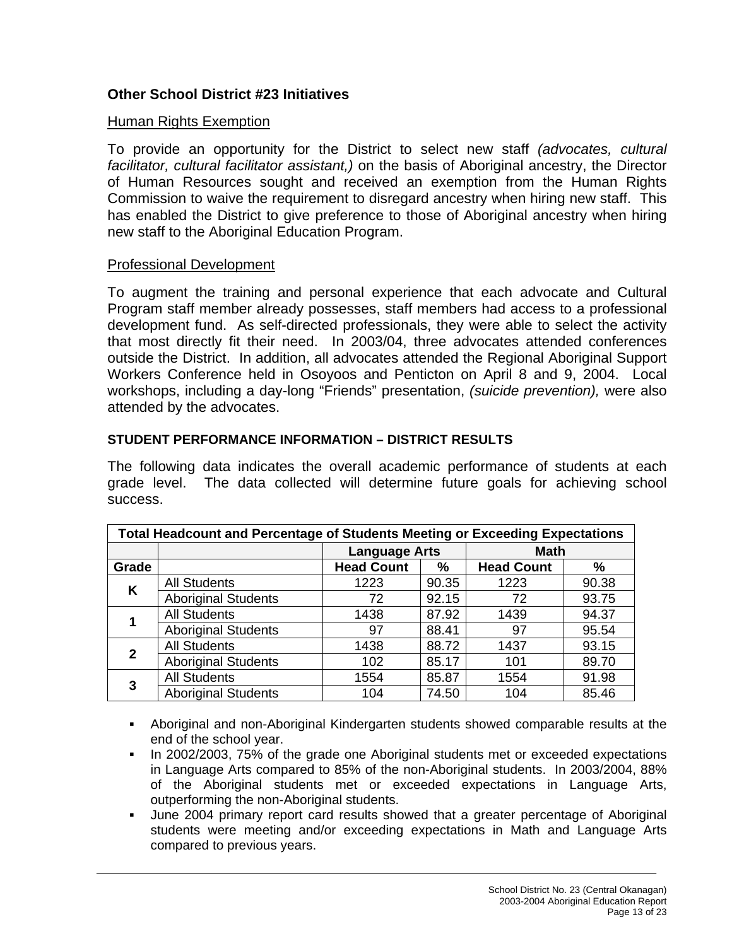# **Other School District #23 Initiatives**

#### Human Rights Exemption

To provide an opportunity for the District to select new staff *(advocates, cultural facilitator, cultural facilitator assistant,)* on the basis of Aboriginal ancestry, the Director of Human Resources sought and received an exemption from the Human Rights Commission to waive the requirement to disregard ancestry when hiring new staff. This has enabled the District to give preference to those of Aboriginal ancestry when hiring new staff to the Aboriginal Education Program.

#### Professional Development

To augment the training and personal experience that each advocate and Cultural Program staff member already possesses, staff members had access to a professional development fund. As self-directed professionals, they were able to select the activity that most directly fit their need. In 2003/04, three advocates attended conferences outside the District. In addition, all advocates attended the Regional Aboriginal Support Workers Conference held in Osoyoos and Penticton on April 8 and 9, 2004. Local workshops, including a day-long "Friends" presentation, *(suicide prevention),* were also attended by the advocates.

#### **STUDENT PERFORMANCE INFORMATION – DISTRICT RESULTS**

The following data indicates the overall academic performance of students at each grade level. The data collected will determine future goals for achieving school success.

| <b>Total Headcount and Percentage of Students Meeting or Exceeding Expectations</b> |                            |                        |       |                   |       |
|-------------------------------------------------------------------------------------|----------------------------|------------------------|-------|-------------------|-------|
|                                                                                     |                            | <b>Language Arts</b>   |       | <b>Math</b>       |       |
| Grade                                                                               |                            | <b>Head Count</b><br>% |       | <b>Head Count</b> | %     |
| K                                                                                   | <b>All Students</b>        | 1223                   | 90.35 | 1223              | 90.38 |
|                                                                                     | <b>Aboriginal Students</b> | 72                     | 92.15 | 72                | 93.75 |
|                                                                                     | <b>All Students</b>        | 1438                   | 87.92 | 1439              | 94.37 |
|                                                                                     | <b>Aboriginal Students</b> | 97                     | 88.41 | 97                | 95.54 |
| $\mathbf{2}$                                                                        | <b>All Students</b>        | 1438                   | 88.72 | 1437              | 93.15 |
|                                                                                     | <b>Aboriginal Students</b> | 102                    | 85.17 | 101               | 89.70 |
| 3                                                                                   | <b>All Students</b>        | 1554                   | 85.87 | 1554              | 91.98 |
|                                                                                     | <b>Aboriginal Students</b> | 104                    | 74.50 | 104               | 85.46 |

 Aboriginal and non-Aboriginal Kindergarten students showed comparable results at the end of the school year.

- In 2002/2003, 75% of the grade one Aboriginal students met or exceeded expectations in Language Arts compared to 85% of the non-Aboriginal students. In 2003/2004, 88% of the Aboriginal students met or exceeded expectations in Language Arts, outperforming the non-Aboriginal students.
- June 2004 primary report card results showed that a greater percentage of Aboriginal students were meeting and/or exceeding expectations in Math and Language Arts compared to previous years.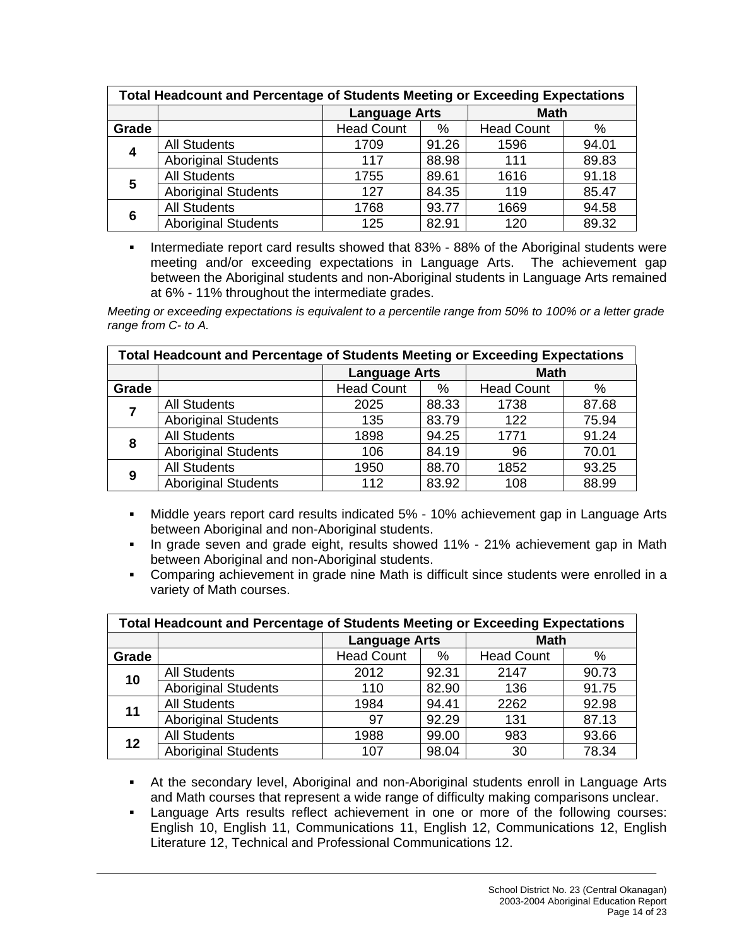| <b>Total Headcount and Percentage of Students Meeting or Exceeding Expectations</b> |                            |                      |       |                   |       |
|-------------------------------------------------------------------------------------|----------------------------|----------------------|-------|-------------------|-------|
|                                                                                     |                            | <b>Language Arts</b> |       | <b>Math</b>       |       |
| Grade                                                                               |                            | <b>Head Count</b>    | %     | <b>Head Count</b> | %     |
| $\overline{\mathbf{4}}$                                                             | <b>All Students</b>        | 1709                 | 91.26 | 1596              | 94.01 |
|                                                                                     | <b>Aboriginal Students</b> | 117                  | 88.98 | 111               | 89.83 |
| 5                                                                                   | <b>All Students</b>        | 1755                 | 89.61 | 1616              | 91.18 |
|                                                                                     | <b>Aboriginal Students</b> | 127                  | 84.35 | 119               | 85.47 |
| 6                                                                                   | <b>All Students</b>        | 1768                 | 93.77 | 1669              | 94.58 |
|                                                                                     | <b>Aboriginal Students</b> | 125                  | 82.91 | 120               | 89.32 |

**Intermediate report card results showed that 83% - 88% of the Aboriginal students were** meeting and/or exceeding expectations in Language Arts. The achievement gap between the Aboriginal students and non-Aboriginal students in Language Arts remained at 6% - 11% throughout the intermediate grades.

*Meeting or exceeding expectations is equivalent to a percentile range from 50% to 100% or a letter grade range from C- to A.* 

| <b>Total Headcount and Percentage of Students Meeting or Exceeding Expectations</b> |                            |                        |       |                   |       |
|-------------------------------------------------------------------------------------|----------------------------|------------------------|-------|-------------------|-------|
|                                                                                     |                            | <b>Language Arts</b>   |       | <b>Math</b>       |       |
| Grade                                                                               |                            | <b>Head Count</b><br>% |       | <b>Head Count</b> | $\%$  |
|                                                                                     | <b>All Students</b>        | 2025                   | 88.33 | 1738              | 87.68 |
|                                                                                     | <b>Aboriginal Students</b> | 135                    | 83.79 | 122               | 75.94 |
| 8                                                                                   | <b>All Students</b>        | 1898                   | 94.25 | 1771              | 91.24 |
|                                                                                     | <b>Aboriginal Students</b> | 106                    | 84.19 | 96                | 70.01 |
| 9                                                                                   | <b>All Students</b>        | 1950                   | 88.70 | 1852              | 93.25 |
|                                                                                     | <b>Aboriginal Students</b> | 112                    | 83.92 | 108               | 88.99 |

- Middle years report card results indicated 5% 10% achievement gap in Language Arts between Aboriginal and non-Aboriginal students.
- In grade seven and grade eight, results showed 11% 21% achievement gap in Math between Aboriginal and non-Aboriginal students.
- Comparing achievement in grade nine Math is difficult since students were enrolled in a variety of Math courses.

| <b>Total Headcount and Percentage of Students Meeting or Exceeding Expectations</b> |                            |                        |       |                   |       |
|-------------------------------------------------------------------------------------|----------------------------|------------------------|-------|-------------------|-------|
|                                                                                     |                            | <b>Language Arts</b>   |       | <b>Math</b>       |       |
| Grade                                                                               |                            | <b>Head Count</b><br>% |       | <b>Head Count</b> | %     |
| 10                                                                                  | <b>All Students</b>        | 2012                   | 92.31 | 2147              | 90.73 |
|                                                                                     | <b>Aboriginal Students</b> | 110                    | 82.90 | 136               | 91.75 |
| 11                                                                                  | <b>All Students</b>        | 1984                   | 94.41 | 2262              | 92.98 |
|                                                                                     | <b>Aboriginal Students</b> | 97                     | 92.29 | 131               | 87.13 |
| 12                                                                                  | <b>All Students</b>        | 1988                   | 99.00 | 983               | 93.66 |
|                                                                                     | <b>Aboriginal Students</b> | 107                    | 98.04 | 30                | 78.34 |

 At the secondary level, Aboriginal and non-Aboriginal students enroll in Language Arts and Math courses that represent a wide range of difficulty making comparisons unclear.

 Language Arts results reflect achievement in one or more of the following courses: English 10, English 11, Communications 11, English 12, Communications 12, English Literature 12, Technical and Professional Communications 12.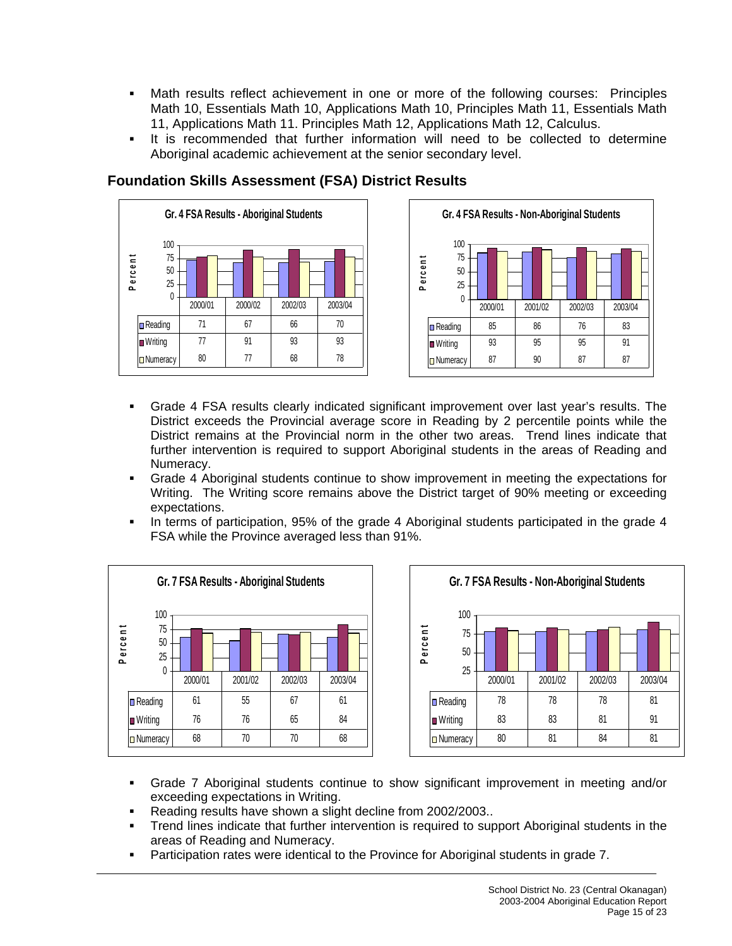- Math results reflect achievement in one or more of the following courses: Principles Math 10, Essentials Math 10, Applications Math 10, Principles Math 11, Essentials Math 11, Applications Math 11. Principles Math 12, Applications Math 12, Calculus.
- It is recommended that further information will need to be collected to determine Aboriginal academic achievement at the senior secondary level.





#### Grade 4 FSA results clearly indicated significant improvement over last year's results. The District exceeds the Provincial average score in Reading by 2 percentile points while the District remains at the Provincial norm in the other two areas. Trend lines indicate that further intervention is required to support Aboriginal students in the areas of Reading and Numeracy.

- Grade 4 Aboriginal students continue to show improvement in meeting the expectations for Writing. The Writing score remains above the District target of 90% meeting or exceeding expectations.
- In terms of participation, 95% of the grade 4 Aboriginal students participated in the grade 4 FSA while the Province averaged less than 91%.





- Grade 7 Aboriginal students continue to show significant improvement in meeting and/or exceeding expectations in Writing.
- Reading results have shown a slight decline from 2002/2003..
- Trend lines indicate that further intervention is required to support Aboriginal students in the areas of Reading and Numeracy.
- Participation rates were identical to the Province for Aboriginal students in grade 7.

# **Foundation Skills Assessment (FSA) District Results**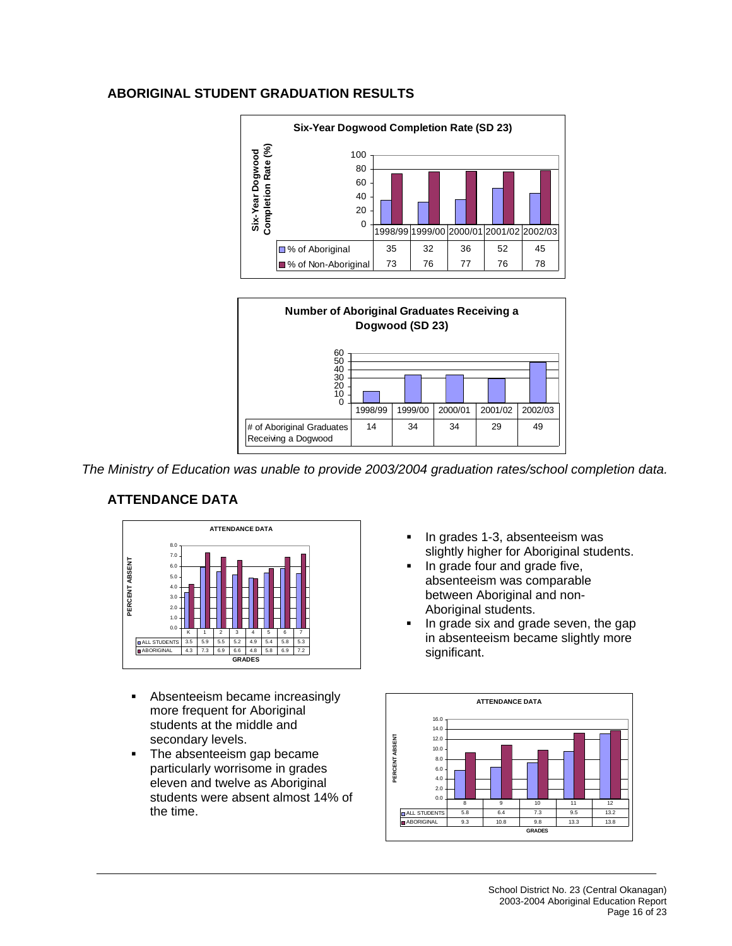#### **ABORIGINAL STUDENT GRADUATION RESULTS**





*The Ministry of Education was unable to provide 2003/2004 graduation rates/school completion data.* 

# **ATTENDANCE DATA**



- **Absenteeism became increasingly** more frequent for Aboriginal students at the middle and secondary levels.
- The absenteeism gap became particularly worrisome in grades eleven and twelve as Aboriginal students were absent almost 14% of the time.
- In grades 1-3, absenteeism was slightly higher for Aboriginal students.
- In grade four and grade five, absenteeism was comparable between Aboriginal and non-Aboriginal students.
- In grade six and grade seven, the gap in absenteeism became slightly more significant.

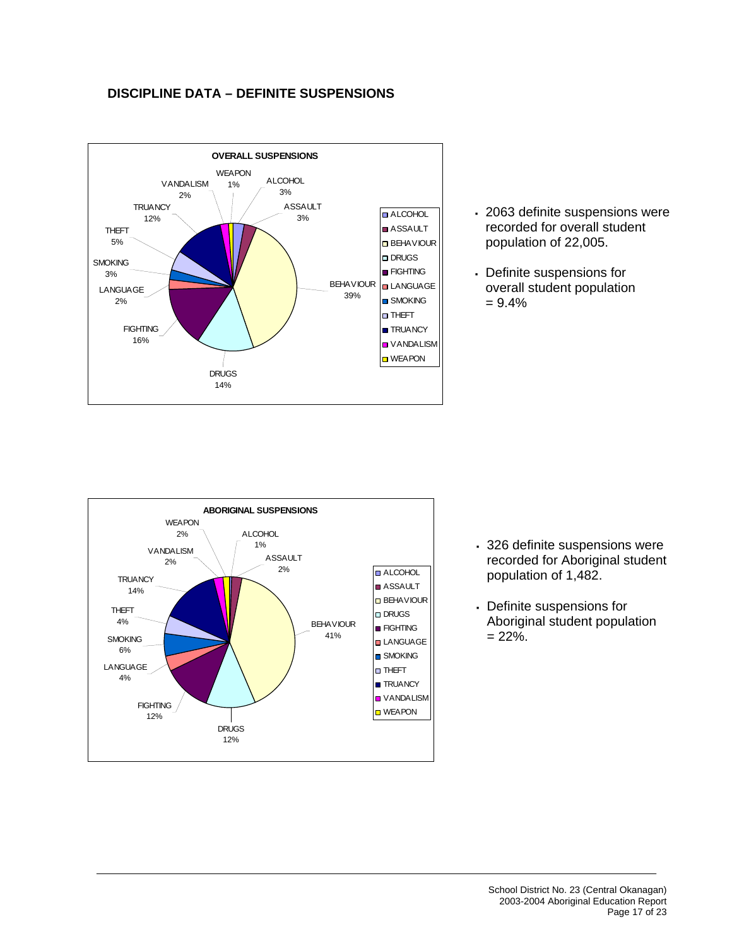#### **DISCIPLINE DATA – DEFINITE SUSPENSIONS**



- 2063 definite suspensions were recorded for overall student population of 22,005.
- Definite suspensions for overall student population  $= 9.4%$



- 326 definite suspensions were recorded for Aboriginal student population of 1,482.
- Definite suspensions for Aboriginal student population  $= 22\%$ .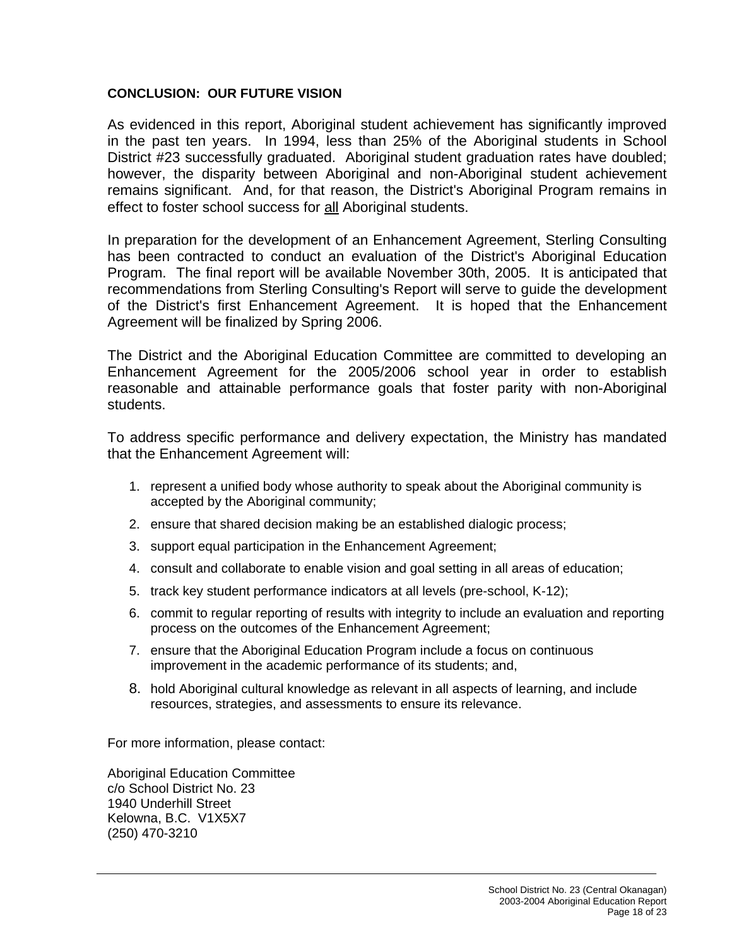#### **CONCLUSION: OUR FUTURE VISION**

As evidenced in this report, Aboriginal student achievement has significantly improved in the past ten years. In 1994, less than 25% of the Aboriginal students in School District #23 successfully graduated. Aboriginal student graduation rates have doubled; however, the disparity between Aboriginal and non-Aboriginal student achievement remains significant. And, for that reason, the District's Aboriginal Program remains in effect to foster school success for all Aboriginal students.

In preparation for the development of an Enhancement Agreement, Sterling Consulting has been contracted to conduct an evaluation of the District's Aboriginal Education Program. The final report will be available November 30th, 2005. It is anticipated that recommendations from Sterling Consulting's Report will serve to guide the development of the District's first Enhancement Agreement. It is hoped that the Enhancement Agreement will be finalized by Spring 2006.

The District and the Aboriginal Education Committee are committed to developing an Enhancement Agreement for the 2005/2006 school year in order to establish reasonable and attainable performance goals that foster parity with non-Aboriginal students.

To address specific performance and delivery expectation, the Ministry has mandated that the Enhancement Agreement will:

- 1. represent a unified body whose authority to speak about the Aboriginal community is accepted by the Aboriginal community;
- 2. ensure that shared decision making be an established dialogic process;
- 3. support equal participation in the Enhancement Agreement;
- 4. consult and collaborate to enable vision and goal setting in all areas of education;
- 5. track key student performance indicators at all levels (pre-school, K-12);
- 6. commit to regular reporting of results with integrity to include an evaluation and reporting process on the outcomes of the Enhancement Agreement;
- 7. ensure that the Aboriginal Education Program include a focus on continuous improvement in the academic performance of its students; and,
- 8. hold Aboriginal cultural knowledge as relevant in all aspects of learning, and include resources, strategies, and assessments to ensure its relevance.

For more information, please contact:

Aboriginal Education Committee c/o School District No. 23 1940 Underhill Street Kelowna, B.C. V1X5X7 (250) 470-3210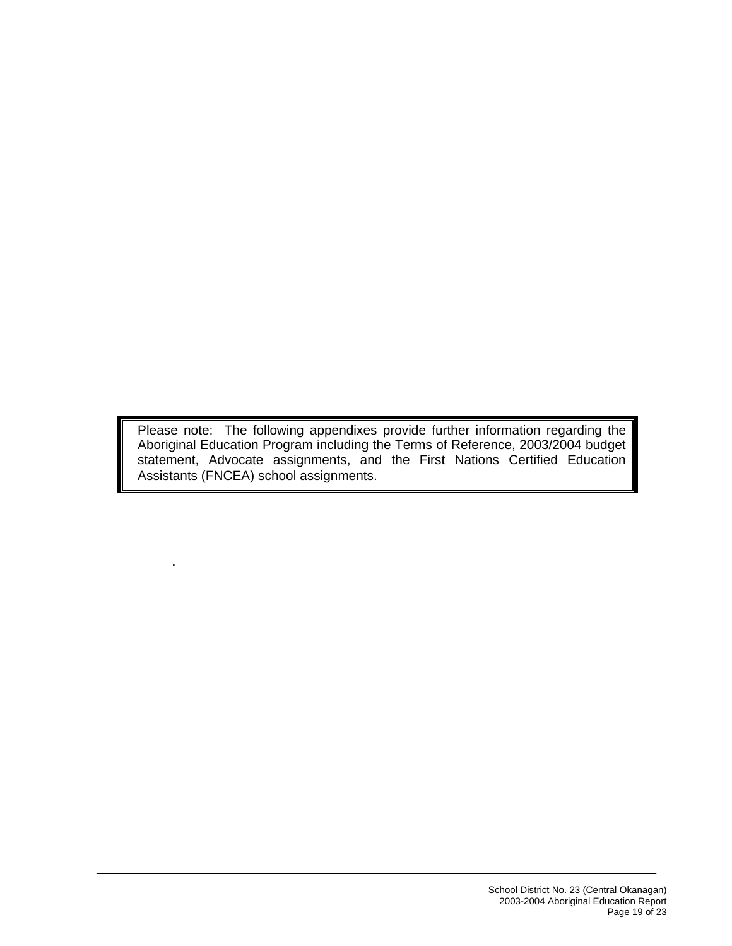Please note: The following appendixes provide further information regarding the Aboriginal Education Program including the Terms of Reference, 2003/2004 budget statement, Advocate assignments, and the First Nations Certified Education Assistants (FNCEA) school assignments.

.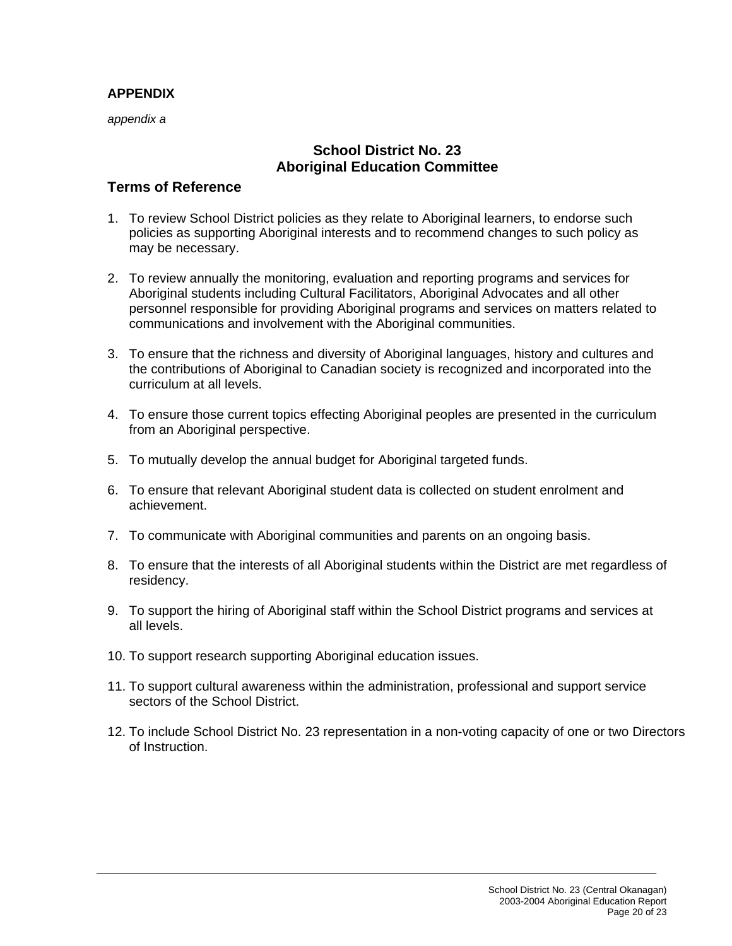## **APPENDIX**

*appendix a* 

# **School District No. 23 Aboriginal Education Committee**

# **Terms of Reference**

- 1. To review School District policies as they relate to Aboriginal learners, to endorse such policies as supporting Aboriginal interests and to recommend changes to such policy as may be necessary.
- 2. To review annually the monitoring, evaluation and reporting programs and services for Aboriginal students including Cultural Facilitators, Aboriginal Advocates and all other personnel responsible for providing Aboriginal programs and services on matters related to communications and involvement with the Aboriginal communities.
- 3. To ensure that the richness and diversity of Aboriginal languages, history and cultures and the contributions of Aboriginal to Canadian society is recognized and incorporated into the curriculum at all levels.
- 4. To ensure those current topics effecting Aboriginal peoples are presented in the curriculum from an Aboriginal perspective.
- 5. To mutually develop the annual budget for Aboriginal targeted funds.
- 6. To ensure that relevant Aboriginal student data is collected on student enrolment and achievement.
- 7. To communicate with Aboriginal communities and parents on an ongoing basis.
- 8. To ensure that the interests of all Aboriginal students within the District are met regardless of residency.
- 9. To support the hiring of Aboriginal staff within the School District programs and services at all levels.
- 10. To support research supporting Aboriginal education issues.
- 11. To support cultural awareness within the administration, professional and support service sectors of the School District.
- 12. To include School District No. 23 representation in a non-voting capacity of one or two Directors of Instruction.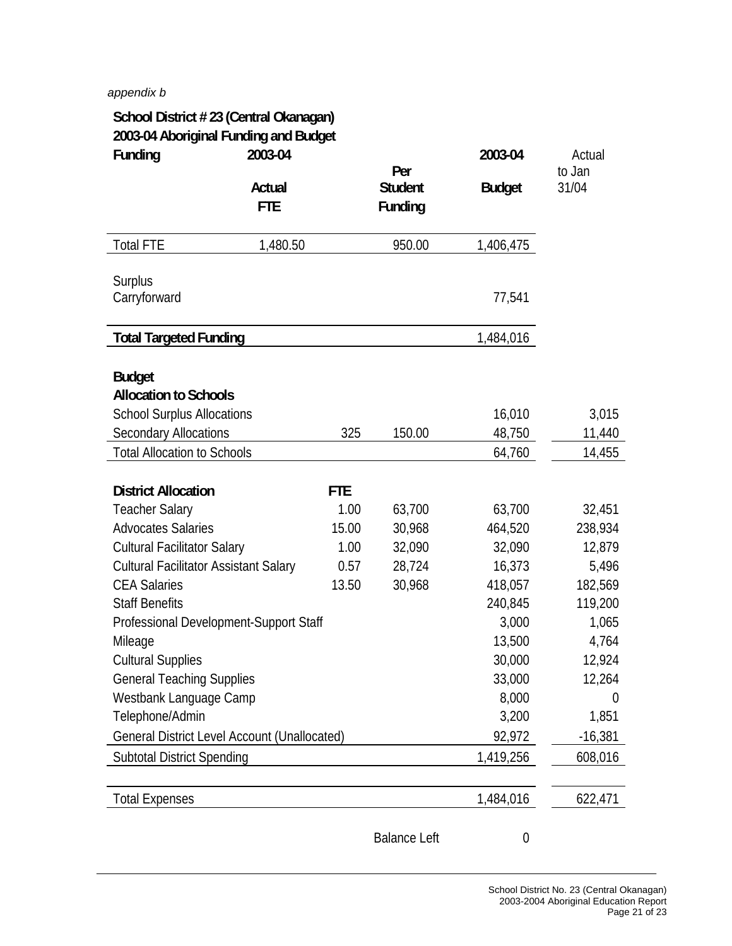#### *appendix b*

| School District #23 (Central Okanagan)<br>2003-04 Aboriginal Funding and Budget |            |            |                     |                  |                  |
|---------------------------------------------------------------------------------|------------|------------|---------------------|------------------|------------------|
| Funding                                                                         | 2003-04    |            | Per                 | 2003-04          | Actual<br>to Jan |
|                                                                                 | Actual     |            | <b>Student</b>      | <b>Budget</b>    | 31/04            |
|                                                                                 | <b>FTE</b> |            | Funding             |                  |                  |
| <b>Total FTE</b>                                                                | 1,480.50   |            | 950.00              | 1,406,475        |                  |
| Surplus                                                                         |            |            |                     |                  |                  |
| Carryforward                                                                    |            |            |                     | 77,541           |                  |
| <b>Total Targeted Funding</b>                                                   |            |            |                     | 1,484,016        |                  |
| <b>Budget</b>                                                                   |            |            |                     |                  |                  |
| <b>Allocation to Schools</b>                                                    |            |            |                     |                  |                  |
| <b>School Surplus Allocations</b>                                               |            |            |                     | 16,010           | 3,015            |
| <b>Secondary Allocations</b>                                                    |            | 325        | 150.00              | 48,750           | 11,440           |
| <b>Total Allocation to Schools</b>                                              |            |            |                     | 64,760           | 14,455           |
|                                                                                 |            |            |                     |                  |                  |
| <b>District Allocation</b>                                                      |            | <b>FTE</b> |                     |                  |                  |
| <b>Teacher Salary</b>                                                           |            | 1.00       | 63,700              | 63,700           | 32,451           |
| <b>Advocates Salaries</b>                                                       |            | 15.00      | 30,968              | 464,520          | 238,934          |
| <b>Cultural Facilitator Salary</b>                                              |            | 1.00       | 32,090              | 32,090           | 12,879           |
| <b>Cultural Facilitator Assistant Salary</b>                                    |            | 0.57       | 28,724              | 16,373           | 5,496            |
| <b>CEA Salaries</b>                                                             |            | 13.50      | 30,968              | 418,057          | 182,569          |
| <b>Staff Benefits</b>                                                           |            |            |                     | 240,845          | 119,200          |
| Professional Development-Support Staff                                          |            |            |                     | 3,000            | 1,065            |
| Mileage                                                                         |            |            |                     | 13,500           | 4,764            |
| <b>Cultural Supplies</b>                                                        |            |            |                     | 30,000           | 12,924           |
| <b>General Teaching Supplies</b>                                                |            |            |                     | 33,000           | 12,264           |
| Westbank Language Camp                                                          |            |            |                     | 8,000            | 0                |
| Telephone/Admin                                                                 |            |            |                     | 3,200            | 1,851            |
| <b>General District Level Account (Unallocated)</b>                             |            |            |                     | 92,972           | $-16,381$        |
| <b>Subtotal District Spending</b>                                               |            |            |                     | 1,419,256        | 608,016          |
|                                                                                 |            |            |                     |                  |                  |
| <b>Total Expenses</b>                                                           |            |            |                     | 1,484,016        | 622,471          |
|                                                                                 |            |            | <b>Balance Left</b> | $\boldsymbol{0}$ |                  |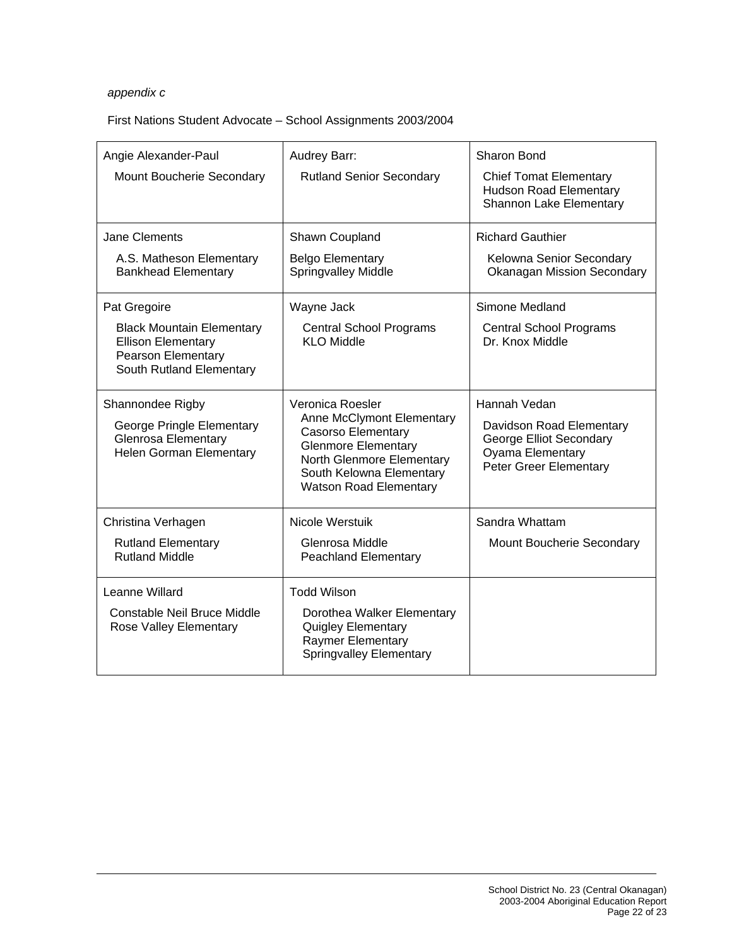#### *appendix c*

#### First Nations Student Advocate – School Assignments 2003/2004

| Angie Alexander-Paul<br>Mount Boucherie Secondary                                                                      | Audrey Barr:<br><b>Rutland Senior Secondary</b>                                                                                                                                                           | <b>Sharon Bond</b><br><b>Chief Tomat Elementary</b><br><b>Hudson Road Elementary</b>                              |
|------------------------------------------------------------------------------------------------------------------------|-----------------------------------------------------------------------------------------------------------------------------------------------------------------------------------------------------------|-------------------------------------------------------------------------------------------------------------------|
|                                                                                                                        |                                                                                                                                                                                                           | Shannon Lake Elementary                                                                                           |
| Jane Clements                                                                                                          | Shawn Coupland                                                                                                                                                                                            | <b>Richard Gauthier</b>                                                                                           |
| A.S. Matheson Elementary<br><b>Bankhead Elementary</b>                                                                 | <b>Belgo Elementary</b><br><b>Springvalley Middle</b>                                                                                                                                                     | Kelowna Senior Secondary<br><b>Okanagan Mission Secondary</b>                                                     |
| Pat Gregoire                                                                                                           | Wayne Jack                                                                                                                                                                                                | Simone Medland                                                                                                    |
| <b>Black Mountain Elementary</b><br><b>Ellison Elementary</b><br><b>Pearson Elementary</b><br>South Rutland Elementary | <b>Central School Programs</b><br>KI O Middle                                                                                                                                                             | <b>Central School Programs</b><br>Dr. Knox Middle                                                                 |
| Shannondee Rigby<br>George Pringle Elementary<br><b>Glenrosa Elementary</b><br>Helen Gorman Elementary                 | Veronica Roesler<br><b>Anne McClymont Elementary</b><br><b>Casorso Elementary</b><br><b>Glenmore Elementary</b><br>North Glenmore Elementary<br>South Kelowna Elementary<br><b>Watson Road Elementary</b> | Hannah Vedan<br>Davidson Road Elementary<br>George Elliot Secondary<br>Oyama Elementary<br>Peter Greer Elementary |
| Christina Verhagen                                                                                                     | Nicole Werstuik                                                                                                                                                                                           | Sandra Whattam                                                                                                    |
| <b>Rutland Elementary</b><br><b>Rutland Middle</b>                                                                     | Glenrosa Middle<br><b>Peachland Elementary</b>                                                                                                                                                            | Mount Boucherie Secondary                                                                                         |
| Leanne Willard                                                                                                         | <b>Todd Wilson</b>                                                                                                                                                                                        |                                                                                                                   |
| Constable Neil Bruce Middle<br>Rose Valley Elementary                                                                  | Dorothea Walker Elementary<br><b>Quigley Elementary</b><br>Raymer Elementary<br><b>Springvalley Elementary</b>                                                                                            |                                                                                                                   |